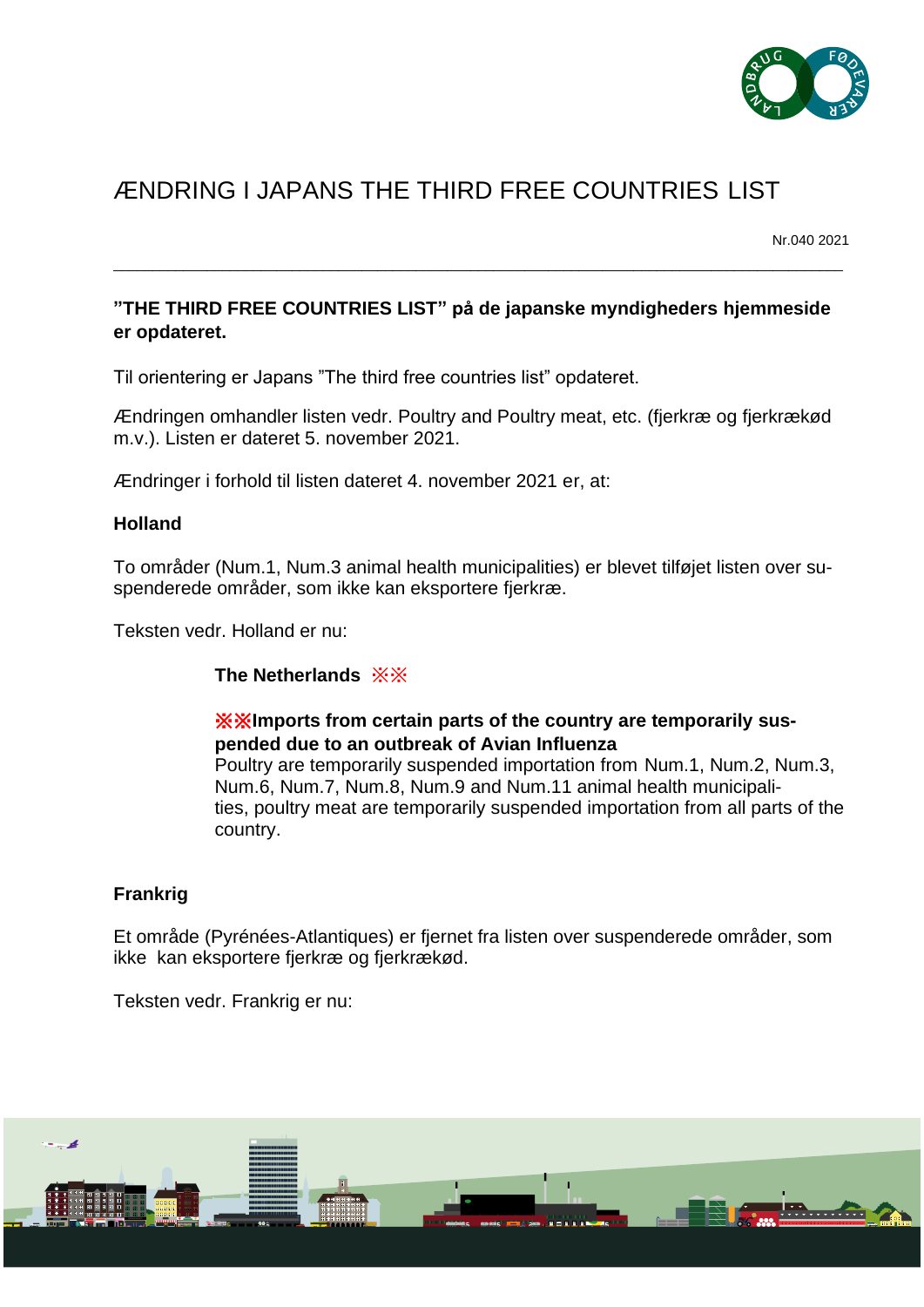

# ÆNDRING I JAPANS THE THIRD FREE COUNTRIES LIST

Nr.040 2021

## **"THE THIRD FREE COUNTRIES LIST" på de japanske myndigheders hjemmeside er opdateret.**

\_\_\_\_\_\_\_\_\_\_\_\_\_\_\_\_\_\_\_\_\_\_\_\_\_\_\_\_\_\_\_\_\_\_\_\_\_\_\_\_\_\_\_\_\_\_\_\_\_\_\_\_\_\_\_\_\_\_\_\_\_\_\_\_\_\_\_\_\_\_\_\_\_\_\_\_\_\_\_\_\_\_\_\_\_\_\_\_\_\_\_\_\_\_

Til orientering er Japans "The third free countries list" opdateret.

Ændringen omhandler listen vedr. Poultry and Poultry meat, etc. (fjerkræ og fjerkrækød m.v.). Listen er dateret 5. november 2021.

Ændringer i forhold til listen dateret 4. november 2021 er, at:

### **Holland**

To områder (Num.1, Num.3 animal health municipalities) er blevet tilføjet listen over suspenderede områder, som ikke kan eksportere fjerkræ.

Teksten vedr. Holland er nu:

### **The Netherlands** ※※

### ※※**Imports from certain parts of the country are temporarily suspended due to an outbreak of Avian Influenza**

Poultry are temporarily suspended importation from Num.1, Num.2, Num.3, Num.6, Num.7, Num.8, Num.9 and Num.11 animal health municipalities, poultry meat are temporarily suspended importation from all parts of the country.

### **Frankrig**

Et område (Pyrénées-Atlantiques) er fjernet fra listen over suspenderede områder, som ikke kan eksportere fjerkræ og fjerkrækød.

Teksten vedr. Frankrig er nu: